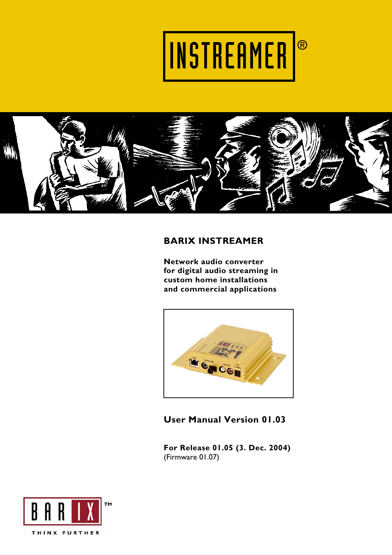



## **BARIX INSTREAMER**

**Network audio converter for digital audio streaming in custom home installations and commercial applications** 



**User Manual Version 01.03** 

**For Release 01.05 (3. Dec. 2004)**  (Firmware 01.07)

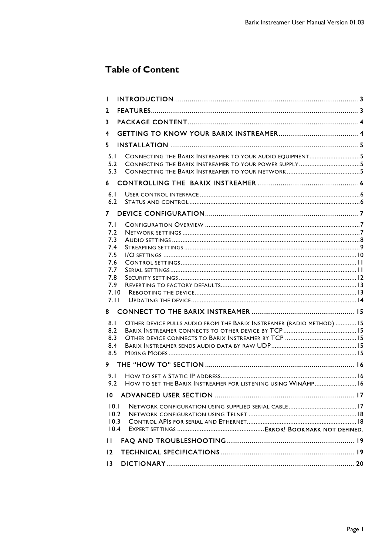## **Table of Content**

| П                                               |                                                                      |  |
|-------------------------------------------------|----------------------------------------------------------------------|--|
| $\mathbf{z}$                                    |                                                                      |  |
| 3                                               |                                                                      |  |
| 4                                               |                                                                      |  |
| 5.                                              |                                                                      |  |
| 5.1<br>5.2<br>5.3                               | CONNECTING THE BARIX INSTREAMER TO YOUR AUDIO EQUIPMENT5             |  |
| 6                                               |                                                                      |  |
| 6.1<br>6.2                                      |                                                                      |  |
| 7                                               |                                                                      |  |
| 7.1<br>7.2<br>7.3<br>7.4                        |                                                                      |  |
| 7.5<br>7.6<br>7.7<br>7.8<br>7.9<br>7.10<br>7.11 |                                                                      |  |
| 8                                               |                                                                      |  |
| 8.1<br>8.2<br>8.3<br>8.4<br>8.5                 | OTHER DEVICE PULLS AUDIO FROM THE BARIX INSTREAMER (RADIO METHOD) 15 |  |
| 9                                               |                                                                      |  |
| 9.1<br>9.2                                      | HOW TO SET THE BARIX INSTREAMER FOR LISTENING USING WINAMP 16        |  |
| $\overline{10}$                                 |                                                                      |  |
| 10.1<br>10.2<br>10.3<br>10.4                    |                                                                      |  |
| П                                               |                                                                      |  |
| 12                                              |                                                                      |  |
| $\overline{13}$                                 |                                                                      |  |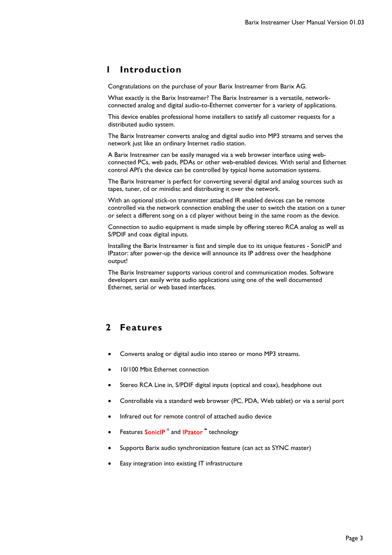## **1 Introduction**

Congratulations on the purchase of your Barix Instreamer from Barix AG.

What exactly is the Barix Instreamer? The Barix Instreamer is a versatile, networkconnected analog and digital audio-to-Ethernet converter for a variety of applications.

This device enables professional home installers to satisfy all customer requests for a distributed audio system.

The Barix Instreamer converts analog and digital audio into MP3 streams and serves the network just like an ordinary Internet radio station.

A Barix Instreamer can be easily managed via a web browser interface using webconnected PCs, web pads, PDAs or other web-enabled devices. With serial and Ethernet control API's the device can be controlled by typical home automation systems.

The Barix Instreamer is perfect for converting several digital and analog sources such as tapes, tuner, cd or minidisc and distributing it over the network.

With an optional stick-on transmitter attached IR enabled devices can be remote controlled via the network connection enabling the user to switch the station on a tuner or select a different song on a cd player without being in the same room as the device.

Connection to audio equipment is made simple by offering stereo RCA analog as well as S/PDIF and coax digital inputs.

Installing the Barix Instreamer is fast and simple due to its unique features - SonicIP and IPzator: after power-up the device will announce its IP address over the headphone output!

The Barix Instreamer supports various control and communication modes. Software developers can easily write audio applications using one of the well documented Ethernet, serial or web based interfaces.

## **2 Features**

- Converts analog or digital audio into stereo or mono MP3 streams.
- 10/100 Mbit Ethernet connection
- Stereo RCA Line in, S/PDIF digital inputs (optical and coax), headphone out
- Controllable via a standard web browser (PC, PDA, Web tablet) or via a serial port
- Infrared out for remote control of attached audio device
- Features **SonicIP**<sup>®</sup> and **IPzator**<sup>™</sup> technology
- Supports Barix audio synchronization feature (can act as SYNC master)
- Easy integration into existing IT infrastructure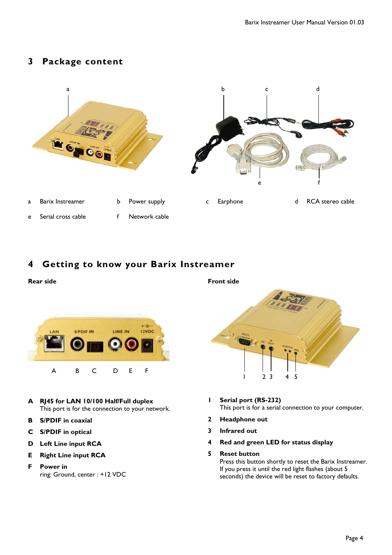## **3 Package content**



## **4 Getting to know your Barix Instreamer**

Ļ

# S/POIF IN LINE IN 12VDC A B C D E F

- **A RJ45 for LAN 10/100 Half/Full duplex**  This port is for the connection to your network.
- **B S/PDIF in coaxial**

**Rear side** 

- **C S/PDIF in optical**
- **D Left Line input RCA**
- **E Right Line input RCA**
- **F Power in** ring: Ground, center : +12 VDC



- **1 Serial port (RS-232)**  This port is for a serial connection to your computer.
- **2 Headphone out**
- **3 Infrared out**
- **4 Red and green LED for status display**
- **5 Reset button**

Press this button shortly to reset the Barix Instreamer. If you press it until the red light flashes (about 5 seconds) the device will be reset to factory defaults.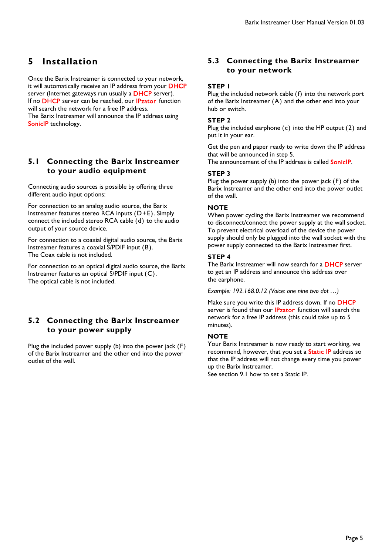## **5 Installation**

Once the Barix Instreamer is connected to your network, it will automatically receive an IP address from your DHCP server (Internet gateways run usually a DHCP server). If no DHCP server can be reached, our IPzator function will search the network for a free IP address. The Barix Instreamer will announce the IP address using SoniclP technology.

### **5.1 Connecting the Barix Instreamer to your audio equipment**

Connecting audio sources is possible by offering three different audio input options:

For connection to an analog audio source, the Barix Instreamer features stereo RCA inputs (D+E). Simply connect the included stereo RCA cable (d) to the audio output of your source device.

For connection to a coaxial digital audio source, the Barix Instreamer features a coaxial S/PDIF input (B). The Coax cable is not included.

For connection to an optical digital audio source, the Barix Instreamer features an optical S/PDIF input (C). The optical cable is not included.

## **5.2 Connecting the Barix Instreamer to your power supply**

Plug the included power supply (b) into the power jack (F) of the Barix Instreamer and the other end into the power outlet of the wall.

## **5.3 Connecting the Barix Instreamer to your network**

#### **STEP 1**

Plug the included network cable (f) into the network port of the Barix Instreamer (A) and the other end into your hub or switch.

#### **STEP 2**

Plug the included earphone (c) into the HP output (2) and put it in your ear.

Get the pen and paper ready to write down the IP address that will be announced in step 5. The announcement of the IP address is called **SonicIP**.

#### **STEP 3**

Plug the power supply (b) into the power jack (F) of the Barix Instreamer and the other end into the power outlet of the wall.

#### **NOTE**

When power cycling the Barix Instreamer we recommend to disconnect/connect the power supply at the wall socket. To prevent electrical overload of the device the power supply should only be plugged into the wall socket with the power supply connected to the Barix Instreamer first.

#### **STEP 4**

The Barix Instreamer will now search for a **DHCP** server to get an IP address and announce this address over the earphone.

*Example: 192.168.0.12 (Voice: one nine two dot …)* 

Make sure you write this IP address down. If no DHCP server is found then our **IPzator** function will search the network for a free IP address (this could take up to 5 minutes).

#### **NOTE**

Your Barix Instreamer is now ready to start working, we recommend, however, that you set a **Static IP** address so that the IP address will not change every time you power up the Barix Instreamer.

See section 9.1 how to set a Static IP.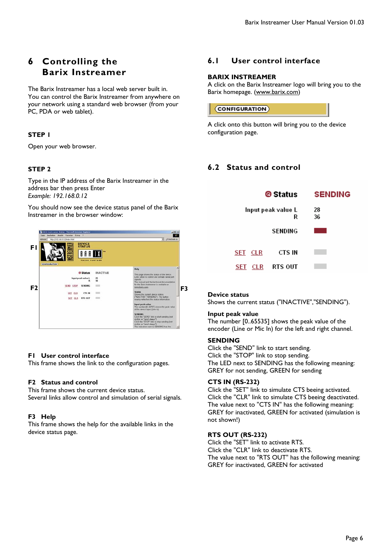## **6 Controlling the Barix Instreamer**

The Barix Instreamer has a local web server built in. You can control the Barix Instreamer from anywhere on your network using a standard web browser (from your PC, PDA or web tablet).

### **STEP 1**

Open your web browser.

### **STEP 2**

Type in the IP address of the Barix Instreamer in the address bar then press Enter *Example: 192.168.0.12*

You should now see the device status panel of the Barix Instreamer in the browser window:



#### **F1 User control interface**

This frame shows the link to the configuration pages.

#### **F2 Status and control**

This frame shows the current device status.

### Several links allow control and simulation of serial signals.

#### **F3 Help**

This frame shows the help for the available links in the device status page.

## **6.1 User control interface**

#### **BARIX INSTREAMER**

A click on the Barix Instreamer logo will bring you to the Barix homepage. (www.barix.com)

### (CONFIGURATION)

A click onto this button will bring you to the device configuration page.

## **6.2 Status and control**

| @ Status           |                | <b>SENDING</b> |
|--------------------|----------------|----------------|
| Input peak value L | R              | 28<br>36       |
|                    | <b>SENDING</b> |                |
| SET CLR            | CTS IN         |                |
| CLR<br>SET         | RTS OUT        |                |

#### **Device status**

Shows the current status ("INACTIVE","SENDING").

#### **Input peak value**

The number [0..65535] shows the peak value of the encoder (Line or Mic In) for the left and right channel.

#### **SENDING**

Click the "SEND" link to start sending. Click the "STOP" link to stop sending. The LED next to SENDING has the following meaning: GREY for not sending, GREEN for sending

#### **CTS IN (RS-232)**

Click the "SET" link to simulate CTS beeing activated. Click the "CLR" link to simulate CTS beeing deactivated. The value next to "CTS IN" has the following meaning: GREY for inactivated, GREEN for activated (simulation is not shown!)

#### **RTS OUT (RS-232)**

Click the "SET" link to activate RTS. Click the "CLR" link to deactivate RTS. The value next to "RTS OUT" has the following meaning: GREY for inactivated, GREEN for activated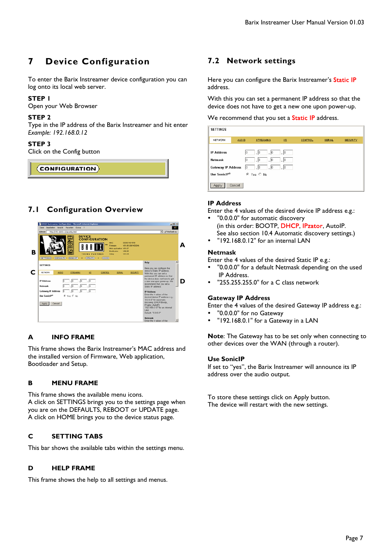## **7 Device Configuration**

To enter the Barix Instreamer device configuration you can log onto its local web server.

#### **STEP 1**

Open your Web Browser

#### **STEP 2**

Type in the IP address of the Barix Instreamer and hit enter *Example: 192.168.0.12* 

#### **STEP 3**

Click on the Config button

 $\langle$  CONFIGURATION $\rangle$ 

## **7.1 Configuration Overview**



### **A INFO FRAME**

This frame shows the Barix Instreamer's MAC address and the installed version of Firmware, Web application, Bootloader and Setup.

#### **B MENU FRAME**

This frame shows the available menu icons. A click on SETTINGS brings you to the settings page when you are on the DEFAULTS, REBOOT or UPDATE page. A click on HOME brings you to the device status page.

#### **C SETTING TABS**

This bar shows the available tabs within the settings menu.

#### **D HELP FRAME**

This frame shows the help to all settings and menus.

## **7.2 Network settings**

Here you can configure the Barix Instreamer's Static IP address.

With this you can set a permanent IP address so that the device does not have to get a new one upon power-up.

#### We recommend that you set a **Static IP** address.

| <b>SETTINGS</b>                                                           |                |                                                                           |                     |                |               |                 |
|---------------------------------------------------------------------------|----------------|---------------------------------------------------------------------------|---------------------|----------------|---------------|-----------------|
| NETWORK                                                                   | <b>AUDIO</b>   | <b>STREAMING</b>                                                          | $\underline{UQ}$    | <b>CONTROL</b> | <b>SERIAL</b> | <b>SECURITY</b> |
| <b>IP Address</b><br>Netmask<br><b>Gateway IP Address</b><br>Use SoniclP® | 10<br>10<br>10 | $\vert 0 \vert$<br>$\cdot$ 0<br>. 10<br>. 10<br>.  0<br>.10<br>⊙ Yes O No | .  0<br>.10<br>.  0 |                |               |                 |
| Apply                                                                     | Cancel         |                                                                           |                     |                |               |                 |

#### **IP Address**

Enter the 4 values of the desired device IP address e.g.:

- "0.0.0.0" for automatic discovery (in this order: BOOTP, DHCP, IPzator, AutoIP. See also section 10.4 Automatic discovery settings.)
- y "192.168.0.12" for an internal LAN

#### **Netmask**

Enter the 4 values of the desired Static IP e.g.:

- "0.0.0.0" for a default Netmask depending on the used IP Address.
- "255.255.255.0" for a C class network

#### **Gateway IP Address**

Enter the 4 values of the desired Gateway IP address e.g.:

- "0.0.0.0" for no Gateway
- "192.168.0.1" for a Gateway in a LAN

**Note**: The Gateway has to be set only when connecting to other devices over the WAN (through a router).

#### **Use SonicIP**

If set to "yes", the Barix Instreamer will announce its IP address over the audio output.

To store these settings click on Apply button. The device will restart with the new settings.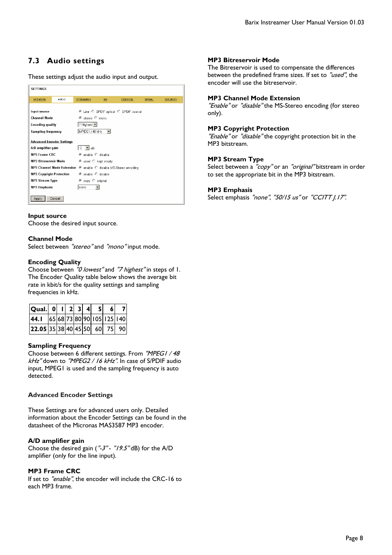## **7.3 Audio settings**

These settings adjust the audio input and output.

| <b>SETTINGS</b>                                                                                                                                                                                           |              |                  |     |         |               |          |  |
|-----------------------------------------------------------------------------------------------------------------------------------------------------------------------------------------------------------|--------------|------------------|-----|---------|---------------|----------|--|
| <b>NETWORK</b>                                                                                                                                                                                            | <b>AUDIO</b> | <b>STREAMING</b> | VO. | CONTROL | <b>SERIAL</b> | SECURITY |  |
| © Line C SPDIF optical C SPDIF coaxial<br>Input source<br><b>Channel Mode</b><br>⊙ stereo ○ mono<br>7 Highest -<br><b>Encoding quality</b><br>MPEG1 / 48 kHz<br><b>Sampling frequency</b><br>$\mathbf{r}$ |              |                  |     |         |               |          |  |
| <b>Advanced Encoder Settings</b><br>ďB<br>A/D amplifier gain<br>-3<br>▾╎                                                                                                                                  |              |                  |     |         |               |          |  |
| <b>MP3 Frame CRC</b><br>© enable ○ disable<br>MP3 Bitreservoir Mode<br>© used ○ kept empty                                                                                                                |              |                  |     |         |               |          |  |
| MP3 Channel Mode Extension © enable C disable MS-Stereo encoding<br><b>MP3 Copyright Protection</b><br>⊙ enable ○ disable                                                                                 |              |                  |     |         |               |          |  |
| <b>MP3 Stream Type</b><br>© copy ○ original<br><b>MP3 Emphasis</b><br>none                                                                                                                                |              |                  |     |         |               |          |  |
| Apply                                                                                                                                                                                                     | Cancel       |                  |     |         |               |          |  |

#### **Input source**

Choose the desired input source.

#### **Channel Mode**

Select between "stereo" and "mono" input mode.

#### **Encoding Quality**

Choose between "0 lowest" and "7 highest" in steps of 1. The Encoder Quality table below shows the average bit rate in kbit/s for the quality settings and sampling frequencies in kHz.

| Qual. 0 $ 1 2 3 4 $               |  |  | 5 <sup>1</sup> |  |
|-----------------------------------|--|--|----------------|--|
| 44.1 65 68 73 80 90 105 125 140   |  |  |                |  |
| $ 22.05 35 38 40 45 50 $ 60 75 90 |  |  |                |  |

#### **Sampling Frequency**

Choose between 6 different settings. From "MPEG1 / 48 kHz" down to "MPEG2 / 16 kHz". In case of S/PDIF audio input, MPEG1 is used and the sampling frequency is auto detected.

#### **Advanced Encoder Settings**

These Settings are for advanced users only. Detailed information about the Encoder Settings can be found in the datasheet of the Micronas MAS3587 MP3 encoder.

#### **A/D amplifier gain**

Choose the desired gain ( $".3".$   $."19.5".4B$ ) for the A/D amplifier (only for the line input).

#### **MP3 Frame CRC**

If set to "enable", the encoder will include the CRC-16 to each MP3 frame.

#### **MP3 Bitreservoir Mode**

The Bitreservoir is used to compensate the differences between the predefined frame sizes. If set to "used", the encoder will use the bitreservoir.

#### **MP3 Channel Mode Extension**

"Enable" or "disable" the MS-Stereo encoding (for stereo only).

#### **MP3 Copyright Protection**

"Enable" or "disable" the copyright protection bit in the MP3 bitstream.

#### **MP3 Stream Type**

Select between a "copy" or an "original" bitstream in order to set the appropriate bit in the MP3 bitstream.

#### **MP3 Emphasis**

Select emphasis "none", "50/15 us" or "CCITT J.17".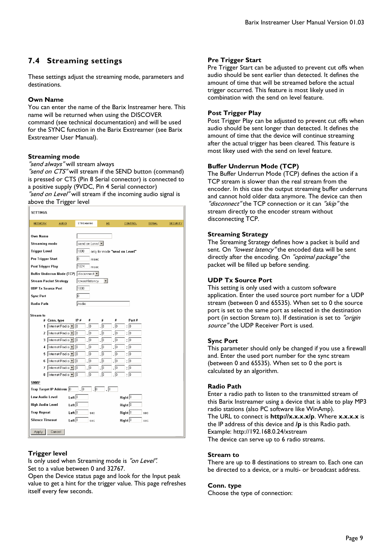## **7.4 Streaming settings**

These settings adjust the streaming mode, parameters and destinations.

#### **Own Name**

You can enter the name of the Barix Instreamer here. This name will be returned when using the DISCOVER command (see technical documentation) and will be used for the SYNC function in the Barix Exstreamer (see Barix Exstreamer User Manual).

#### **Streaming mode**

"send always" will stream always

"send on CTS" will stream if the SEND button (command) is pressed or CTS (Pin 8 Serial connector) is connected to a positive supply (9VDC, Pin 4 Serial connector) "send on Level" will stream if the incoming audio signal is

above the Trigger level

| <b>SETTINGS</b>                              |                 |                               |                   |               |                 |
|----------------------------------------------|-----------------|-------------------------------|-------------------|---------------|-----------------|
| NETWORK<br><b>AUDIO</b>                      | STREAMING       | <b>VO</b>                     | CONTROL           | <b>SERIAL</b> | <b>SECURITY</b> |
| Own Name                                     |                 |                               |                   |               |                 |
| <b>Streaming mode</b>                        | send on Level v |                               |                   |               |                 |
| <b>Trigger Level</b>                         | 1000            | only for mode "send on Level" |                   |               |                 |
| Pre Trigger Start                            | I٥<br>msec      |                               |                   |               |                 |
| Post Trigger Play                            | 1024<br>msec    |                               |                   |               |                 |
| Buffer Underrun Mode (TCP) disconnect v      |                 |                               |                   |               |                 |
| <b>Stream Packet Strategy</b>                | lowest latency  | ▾                             |                   |               |                 |
| <b>UDP Tx Source Port</b>                    | 1000            |                               |                   |               |                 |
| <b>Sync Port</b>                             | I٥              |                               |                   |               |                 |
| Radio Path                                   | /radio          |                               |                   |               |                 |
|                                              |                 |                               |                   |               |                 |
| Stream to                                    | IP#<br>#        | #                             | Port#             |               |                 |
| #<br>Conn. type<br>Internet Radio v   0<br>1 | . 10            | #<br>$\sqrt{0}$<br>0 .        | : 10              |               |                 |
| Internet Radio   0<br>2                      | . 0             | . 10<br>. 10                  | : 10              |               |                 |
| Internet Radio   0<br>3                      | $\sqrt{0}$      | 0ا .<br>. 10                  | : 10              |               |                 |
| Internet Radio - 0<br>4                      | $\sqrt{0}$      | . 10<br>. 0                   | : 10              |               |                 |
| Internet Radio - 0<br>5                      | 0 .             | $\sqrt{0}$<br>. 10            | : 0               |               |                 |
| Internet Radio - 0<br>6                      | . 0             | . 10<br>. 10                  | : 10              |               |                 |
| Internet Radio - 0<br>7                      | . 10            | . 10<br>$\sqrt{0}$            | : 0               |               |                 |
| Internet Radio   0<br>8                      | . 10            | . 10<br>lo                    | : 10              |               |                 |
| <b>SNMP</b>                                  |                 |                               |                   |               |                 |
| Trap Target IP Address 0                     | 0 .<br>0 .      | . 10                          |                   |               |                 |
| Left $\boxed{0}$<br>Low Audio Level          |                 |                               | Right $\boxed{0}$ |               |                 |
| Left $\boxed{0}$<br>High Audio Level         |                 |                               | Right $\boxed{0}$ |               |                 |
| Left $ 0 $<br><b>Trap Repeat</b>             | sec             |                               | Right $ 0 $       | sec           |                 |
| Left $ 0 $<br><b>Silence Timeout</b>         | sec             |                               | Right $ 0 $       | sec           |                 |
| Apply<br>Cancel                              |                 |                               |                   |               |                 |

#### **Trigger level**

Is only used when Streaming mode is "on Level". Set to a value between 0 and 32767.

Open the Device status page and look for the Input peak value to get a hint for the trigger value. This page refreshes itself every few seconds.

#### **Pre Trigger Start**

Pre Trigger Start can be adjusted to prevent cut offs when audio should be sent earlier than detected. It defines the amount of time that will be streamed before the actual trigger occurred. This feature is most likely used in combination with the send on level feature.

#### **Post Trigger Play**

Post Trigger Play can be adjusted to prevent cut offs when audio should be sent longer than detected. It defines the amount of time that the device will continue streaming after the actual trigger has been cleared. This feature is most likey used with the send on level feature.

#### **Buffer Underrun Mode (TCP)**

The Buffer Underrun Mode (TCP) defines the action if a TCP stream is slower than the real stream from the encoder. In this case the output streaming buffer underruns and cannot hold older data anymore. The device can then "disconnect" the TCP connection or it can "skip" the stream directly to the encoder stream without disconnecting TCP.

#### **Streaming Strategy**

The Streaming Strategy defines how a packet is build and sent. On *"lowest latency*" the encoded data will be sent directly after the encoding. On "optimal package" the packet will be filled up before sending.

#### **UDP Tx Source Port**

This setting is only used with a custom software application. Enter the used source port number for a UDP stream (between 0 and 65535). When set to 0 the source port is set to the same port as selected in the destination port (in section Stream to). If destination is set to "origin source" the UDP Receiver Port is used.

#### **Sync Port**

This parameter should only be changed if you use a firewall and. Enter the used port number for the sync stream (between 0 and 65535). When set to 0 the port is calculated by an algorithm.

#### **Radio Path**

Enter a radio path to listen to the transmitted stream of this Barix Instreamer using a device that is able to play MP3 radio stations (also PC software like WinAmp). The URL to connect is **http://x.x.x.x/p**. Where **x.x.x.x** is the IP address of this device and **/p** is this Radio path. Example: http://192.168.0.24/xstream The device can serve up to 6 radio streams.

#### **Stream to**

There are up to 8 destinations to stream to. Each one can be directed to a device, or a multi- or broadcast address.

#### **Conn. type**

Choose the type of connection: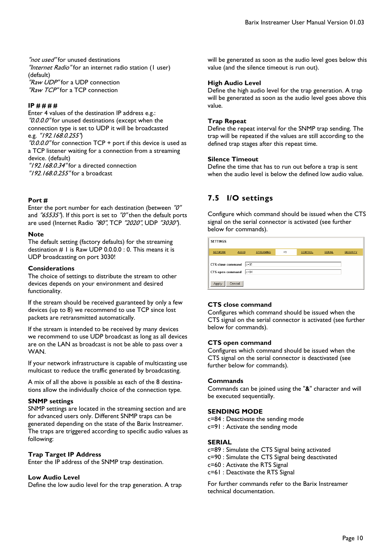"not used" for unused destinations "Internet Radio" for an internet radio station (I user) (default) "Raw UDP" for a UDP connection "Raw TCP" for a TCP connection

#### **IP # # # #**

Enter 4 values of the destination IP address e.g.: "0.0.0.0" for unused destinations (except when the connection type is set to UDP it will be broadcasted e.g. "192.168.0.255")

 $"0.0.0.0"$  for connection TCP + port if this device is used as a TCP listener waiting for a connection from a streaming device. (default)  $"192.168.0.34"$  for a directed connection

"192.168.0.255" for a broadcast

#### **Port #**

Enter the port number for each destination (between "0" and  $\frac{765535}{\cdot}$ . If this port is set to  $\frac{70}{\cdot}$  then the default ports are used (Internet Radio "80", TCP "2020", UDP "3030").

#### **Note**

The default setting (factory defaults) for the streaming destination  $#$  1 is Raw UDP 0.0.0.0 : 0. This means it is UDP broadcasting on port 3030!

#### **Considerations**

The choice of settings to distribute the stream to other devices depends on your environment and desired functionality.

If the stream should be received guaranteed by only a few devices (up to 8) we recommend to use TCP since lost packets are retransmitted automatically.

If the stream is intended to be received by many devices we recommend to use UDP broadcast as long as all devices are on the LAN as broadcast is not be able to pass over a WAN.

If your network infrastructure is capable of multicasting use multicast to reduce the traffic generated by broadcasting.

A mix of all the above is possible as each of the 8 destinations allow the individually choice of the connection type.

#### **SNMP settings**

SNMP settings are located in the streaming section and are for advanced users only. Different SNMP traps can be generated depending on the state of the Barix Instreamer. The traps are triggered according to specific audio values as following:

#### **Trap Target IP Address**

Enter the IP address of the SNMP trap destination.

#### **Low Audio Level**

Define the low audio level for the trap generation. A trap

will be generated as soon as the audio level goes below this value (and the silence timeout is run out).

#### **High Audio Level**

Define the high audio level for the trap generation. A trap will be generated as soon as the audio level goes above this value.

#### **Trap Repeat**

Define the repeat interval for the SNMP trap sending. The trap will be repeated if the values are still according to the defined trap stages after this repeat time.

#### **Silence Timeout**

Define the time that has to run out before a trap is sent when the audio level is below the defined low audio value.

## **7.5 I/O settings**

Configure which command should be issued when the CTS signal on the serial connector is activated (see further below for commands).

| <b>SETTINGS</b>                              |                  |                  |     |                |               |                 |
|----------------------------------------------|------------------|------------------|-----|----------------|---------------|-----------------|
| <b>NETWORK</b>                               | <b>AUDIO</b>     | <b>STREAMING</b> | I/O | <b>CONTROL</b> | <b>SERIAL</b> | <b>SECURITY</b> |
| <b>CTS</b> close command<br>CTS open command | $c=91$<br>$c=84$ |                  |     |                |               |                 |
| Apply                                        | Cancel           |                  |     |                |               |                 |

#### **CTS close command**

Configures which command should be issued when the CTS signal on the serial connector is activated (see further below for commands).

#### **CTS open command**

Configures which command should be issued when the CTS signal on the serial connector is deactivated (see further below for commands).

#### **Commands**

Commands can be joined using the "&" character and will be executed sequentially.

#### **SENDING MODE**

c=84 : Deactivate the sending mode c=91 : Activate the sending mode

#### **SERIAL**

c=89 : Simulate the CTS Signal being activated

c=90 : Simulate the CTS Signal being deactivated

c=60 : Activate the RTS Signal

c=61 : Deactivate the RTS Signal

For further commands refer to the Barix Instreamer technical documentation.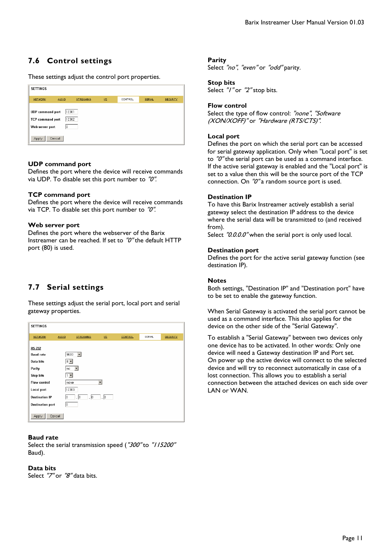## **7.6 Control settings**

These settings adjust the control port properties.

| <b>SETTINGS</b>                                                       |                      |                  |     |         |               |                 |
|-----------------------------------------------------------------------|----------------------|------------------|-----|---------|---------------|-----------------|
| NETWORK                                                               | <b>AUDIO</b>         | <b>STREAMING</b> | 1/2 | CONTROL | <b>SERIAL</b> | <b>SECURITY</b> |
| <b>UDP</b> command port<br><b>TCP</b> command port<br>Web server port | 12301<br>12302<br>10 |                  |     |         |               |                 |
| Apply                                                                 | Cancel               |                  |     |         |               |                 |

#### **UDP command port**

Defines the port where the device will receive commands via UDP. To disable set this port number to "0".

#### **TCP command port**

Defines the port where the device will receive commands via TCP. To disable set this port number to "0".

#### **Web server port**

Defines the port where the webserver of the Barix Instreamer can be reached. If set to "0" the default HTTP port (80) is used.

## **7.7 Serial settings**

These settings adjust the serial port, local port and serial gateway properties.

| <b>SETTINGS</b>         |              |                       |                          |         |        |                 |
|-------------------------|--------------|-----------------------|--------------------------|---------|--------|-----------------|
| <b>NETWORK</b>          | <b>AUDIO</b> | <b>STREAMING</b>      | $\underline{uv}$         | CONTROL | SERIAL | <b>SECURITY</b> |
| <b>RS-232</b>           |              |                       |                          |         |        |                 |
| <b>Baud rate</b>        | 9600         | $\vert \cdot \vert$   |                          |         |        |                 |
| Data bits               | $ 8 -  $     |                       |                          |         |        |                 |
| Parity                  | no           | $\vert \cdot \vert$   |                          |         |        |                 |
| <b>Stop bits</b>        | $1 -$        |                       |                          |         |        |                 |
| <b>Flow control</b>     | none         |                       | $\overline{\phantom{a}}$ |         |        |                 |
| Local port              | 12303        |                       |                          |         |        |                 |
| <b>Destination IP</b>   | lo.          | $\cdot$ 0<br>$\Box$ 0 | . 0                      |         |        |                 |
| <b>Destination port</b> | 10           |                       |                          |         |        |                 |
| Cancel<br>Apply         |              |                       |                          |         |        |                 |

#### **Baud rate**

Select the serial transmission speed ("300" to "/ 15200" Baud).

#### **Data bits**

Select "7" or "8" data bits.

#### **Parity**

Select "no", "even" or "odd" parity.

#### **Stop bits**

Select "/" or "2" stop bits.

#### **Flow control**

Select the type of flow control: "none", "Software (XON/XOFF)" or "Hardware (RTS/CTS)".

#### **Local port**

Defines the port on which the serial port can be accessed for serial gateway application. Only when "Local port" is set to  $\sqrt{\frac{g}{c}}$  the serial port can be used as a command interface. If the active serial gateway is enabled and the "Local port" is set to a value then this will be the source port of the TCP connection. On "0" a random source port is used.

#### **Destination IP**

To have this Barix Instreamer actively establish a serial gateway select the destination IP address to the device where the serial data will be transmitted to (and received from).

Select "0.0.0.0" when the serial port is only used local.

#### **Destination port**

Defines the port for the active serial gateway function (see destination IP).

#### **Notes**

Both settings, "Destination IP" and "Destination port" have to be set to enable the gateway function.

When Serial Gateway is activated the serial port cannot be used as a command interface. This also applies for the device on the other side of the "Serial Gateway".

To establish a "Serial Gateway" between two devices only one device has to be activated. In other words: Only one device will need a Gateway destination IP and Port set. On power up the active device will connect to the selected device and will try to reconnect automatically in case of a lost connection. This allows you to establish a serial connection between the attached devices on each side over LAN or WAN.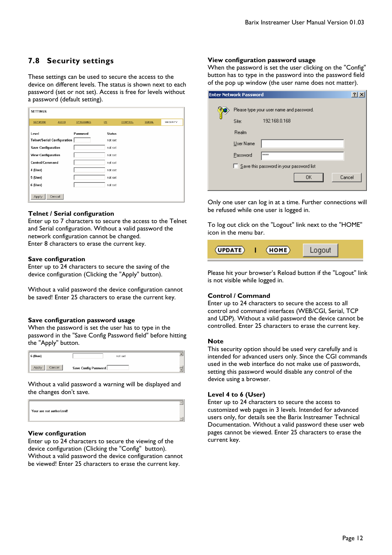## **7.8 Security settings**

These settings can be used to secure the access to the device on different levels. The status is shown next to each password (set or not set). Access is free for levels without a password (default setting).

| <b>SETTINGS</b>                    |              |                  |                           |                |               |          |
|------------------------------------|--------------|------------------|---------------------------|----------------|---------------|----------|
| <b>NETWORK</b>                     | <b>AUDIO</b> | <b>STREAMING</b> | $\underline{\mathsf{wo}}$ | <b>CONTROL</b> | <b>SERIAL</b> | SECURITY |
| Level                              |              | Password         | <b>Status</b>             |                |               |          |
| <b>Telnet/Serial Configuration</b> |              |                  | not set                   |                |               |          |
| <b>Save Configuration</b>          |              |                  | not set                   |                |               |          |
| <b>View Configuration</b>          |              |                  | not set                   |                |               |          |
| Control/Command                    |              |                  | not set                   |                |               |          |
| 4 (User)                           |              |                  | not set                   |                |               |          |
| 5 (User)                           |              |                  | not set                   |                |               |          |
| 6 (User)                           |              |                  | not set                   |                |               |          |
| Apply                              | Cancel       |                  |                           |                |               |          |

#### **Telnet / Serial configuration**

Enter up to 7 characters to secure the access to the Telnet and Serial configuration. Without a valid password the network configuration cannot be changed. Enter 8 characters to erase the current key.

#### **Save configuration**

Enter up to 24 characters to secure the saving of the device configuration (Clicking the "Apply" button).

Without a valid password the device configuration cannot be saved! Enter 25 characters to erase the current key.

#### **Save configuration password usage**

When the password is set the user has to type in the password in the "Save Config Password field" before hitting the "Apply" button.

| 6 (User)        | not set              |  |
|-----------------|----------------------|--|
| Apply<br>Cancel | Save Config Password |  |

Without a valid password a warning will be displayed and the changes don't save.

#### **View configuration**

Enter up to 24 characters to secure the viewing of the device configuration (Clicking the "Config" button). Without a valid password the device configuration cannot be viewed! Enter 25 characters to erase the current key.

#### **View configuration password usage**

When the password is set the user clicking on the "Config" button has to type in the password into the password field of the pop up window (the user name does not matter).

| <b>Enter Network Password</b> |                                          |  |
|-------------------------------|------------------------------------------|--|
|                               | Please type your user name and password. |  |
| Site:                         | 192.168.0.168                            |  |
| Realm                         |                                          |  |
| User Name                     |                                          |  |
| Password                      | xxxx                                     |  |
|                               | Save this password in your password list |  |
|                               | Cancel<br>0K                             |  |
|                               |                                          |  |

Only one user can log in at a time. Further connections will be refused while one user is logged in.

To log out click on the "Logout" link next to the "HOME" icon in the menu bar.



Please hit your browser's Reload button if the "Logout" link is not visible while logged in.

#### **Control / Command**

Enter up to 24 characters to secure the access to all control and command interfaces (WEB/CGI, Serial, TCP and UDP). Without a valid password the device cannot be controlled. Enter 25 characters to erase the current key.

#### **Note**

This security option should be used very carefully and is intended for advanced users only. Since the CGI commands used in the web interface do not make use of passwords, setting this password would disable any control of the device using a browser.

#### **Level 4 to 6 (User)**

Enter up to 24 characters to secure the access to customized web pages in 3 levels. Intended for advanced users only, for details see the Barix Instreamer Technical Documentation. Without a valid password these user web pages cannot be viewed. Enter 25 characters to erase the current key.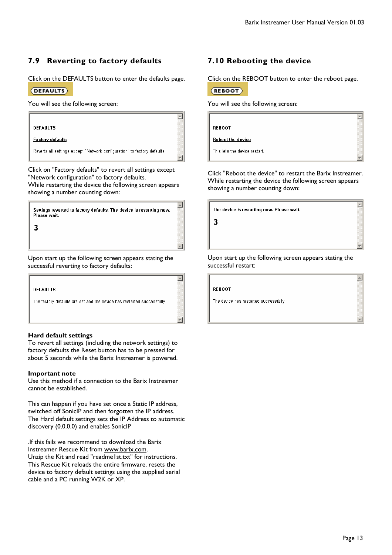$\overline{a}$ 

 $\overline{\mathbb{A}}$ 

 $\blacktriangle$ 

## **7.9 Reverting to factory defaults**

Click on the DEFAULTS button to enter the defaults page.

#### (DEFAULTS)

 $\overline{\mathbf{3}}$ 

You will see the following screen:



Click on "Factory defaults" to revert all settings except "Network configuration" to factory defaults. While restarting the device the following screen appears showing a number counting down:

Settings reverted to factory defaults. The device is restarting now. Please wait.

Upon start up the following screen appears stating the successful reverting to factory defaults:



#### **Hard default settings**

To revert all settings (including the network settings) to factory defaults the Reset button has to be pressed for about 5 seconds while the Barix Instreamer is powered.

#### **Important note**

Use this method if a connection to the Barix Instreamer cannot be established.

This can happen if you have set once a Static IP address, switched off SonicIP and then forgotten the IP address. The Hard default settings sets the IP Address to automatic discovery (0.0.0.0) and enables SonicIP

.If this fails we recommend to download the Barix Instreamer Rescue Kit from www.barix.com. Unzip the Kit and read "readme1st.txt" for instructions. This Rescue Kit reloads the entire firmware, resets the device to factory default settings using the supplied serial cable and a PC running W2K or XP.

## **7.10 Rebooting the device**

Click on the REBOOT button to enter the reboot page.



You will see the following screen:

**REBOOT Reboot the device** 

This lets the device restart.

Click "Reboot the device" to restart the Barix Instreamer. While restarting the device the following screen appears showing a number counting down:

The device is restarting now. Please wait.

3

 $\blacktriangle$ 

Upon start up the following screen appears stating the successful restart:

**REBOOT** 

The device has restarted successfully.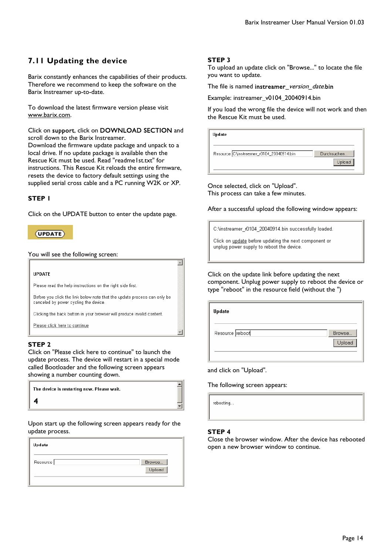## **7.11 Updating the device**

Barix constantly enhances the capabilities of their products. Therefore we recommend to keep the software on the Barix Instreamer up-to-date.

To download the latest firmware version please visit www.barix.com.

Click on support, click on DOWNLOAD SECTION and scroll down to the Barix Instreamer.

Download the firmware update package and unpack to a local drive. If no update package is available then the Rescue Kit must be used. Read "readme1st.txt" for instructions. This Rescue Kit reloads the entire firmware, resets the device to factory default settings using the supplied serial cross cable and a PC running W2K or XP.

#### **STEP 1**

Click on the UPDATE button to enter the update page.

### $(UPDATE)$

You will see the following screen:



#### **STEP 2**

Click on "Please click here to continue" to launch the update process. The device will restart in a special mode called Bootloader and the following screen appears showing a number counting down.

| The device is restarting now. Please wait. |  |
|--------------------------------------------|--|
|                                            |  |

Upon start up the following screen appears ready for the update process.

| Update   |                  |
|----------|------------------|
| Resource | Browse<br>Upload |
|          |                  |

#### **STEP 3**

To upload an update click on "Browse..." to locate the file you want to update.

The file is named instreamer\_version\_date.bin

Example: instreamer\_v0104\_20040914.bin

If you load the wrong file the device will not work and then the Rescue Kit must be used.

| Update                                    |                       |
|-------------------------------------------|-----------------------|
| Resource C:\instreamer_r0104_20040914.bin | Durchsuchen<br>Upload |

Once selected, click on "Upload". This process can take a few minutes.

After a successful upload the following window appears:

C:\instreamer\_r0104\_20040914.bin successfully loaded.

Click on update before updating the next component or unplug power supply to reboot the device.

Click on the update link before updating the next component. Unplug power supply to reboot the device or type "reboot" in the resource field (without the ")

| Update          |                  |
|-----------------|------------------|
| Resource reboot | Browse<br>Upload |
|                 |                  |

and click on "Upload".

The following screen appears:

rebooting...

#### **STEP 4**

Close the browser window. After the device has rebooted open a new browser window to continue.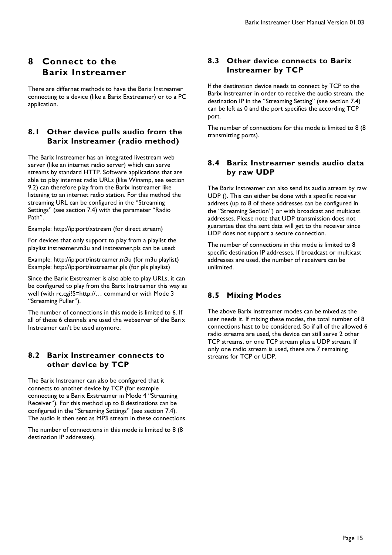## **8 Connect to the Barix Instreamer**

There are differnet methods to have the Barix Instreamer connecting to a device (like a Barix Exstreamer) or to a PC application.

## **8.1 Other device pulls audio from the Barix Instreamer (radio method)**

The Barix Instreamer has an integrated livestream web server (like an internet radio server) which can serve streams by standard HTTP. Software applications that are able to play internet radio URLs (like Winamp, see section 9.2) can therefore play from the Barix Instreamer like listening to an internet radio station. For this method the streaming URL can be configured in the "Streaming Settings" (see section 7.4) with the parameter "Radio Path".

Example: http://ip:port/xstream (for direct stream)

For devices that only support to play from a playlist the playlist instreamer.m3u and instreamer.pls can be used:

Example: http://ip:port/instreamer.m3u (for m3u playlist) Example: http://ip:port/instreamer.pls (for pls playlist)

Since the Barix Exstreamer is also able to play URLs, it can be configured to play from the Barix Instreamer this way as well (with rc.cgi?S=http://... command or with Mode 3 "Streaming Puller").

The number of connections in this mode is limited to 6. If all of these 6 channels are used the webserver of the Barix Instreamer can't be used anymore.

## **8.2 Barix Instreamer connects to other device by TCP**

The Barix Instreamer can also be configured that it connects to another device by TCP (for example connecting to a Barix Exstreamer in Mode 4 "Streaming Receiver"). For this method up to 8 destinations can be configured in the "Streaming Settings" (see section 7.4). The audio is then sent as MP3 stream in these connections.

The number of connections in this mode is limited to 8 (8 destination IP addresses).

## **8.3 Other device connects to Barix Instreamer by TCP**

If the destination device needs to connect by TCP to the Barix Instreamer in order to receive the audio stream, the destination IP in the "Streaming Setting" (see section 7.4) can be left as 0 and the port specifies the according TCP port.

The number of connections for this mode is limited to 8 (8 transmitting ports).

## **8.4 Barix Instreamer sends audio data by raw UDP**

The Barix Instreamer can also send its audio stream by raw UDP (). This can either be done with a specific receiver address (up to 8 of these addresses can be configured in the "Streaming Section") or with broadcast and multicast addresses. Please note that UDP transmission does not guarantee that the sent data will get to the receiver since UDP does not support a secure connection.

The number of connections in this mode is limited to 8 specific destination IP addresses. If broadcast or multicast addresses are used, the number of receivers can be unlimited.

## **8.5 Mixing Modes**

The above Barix Instreamer modes can be mixed as the user needs it. If mixing these modes, the total number of 8 connections hast to be considered. So if all of the allowed 6 radio streams are used, the device can still serve 2 other TCP streams, or one TCP stream plus a UDP stream. If only one radio stream is used, there are 7 remaining streams for TCP or UDP.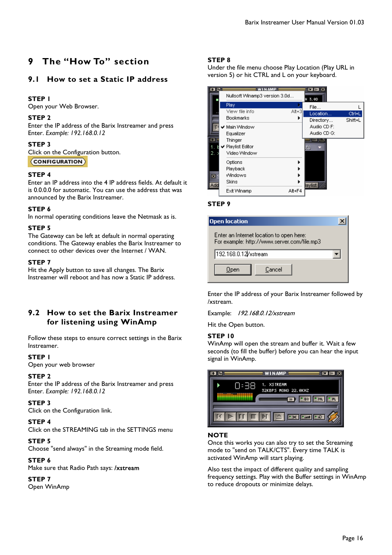## **9 The "How To" section**

## **9.1 How to set a Static IP address**

#### **STEP 1**

Open your Web Browser.

#### **STEP 2**

Enter the IP address of the Barix Instreamer and press Enter. *Example: 192.168.0.12* 

#### **STEP 3**

Click on the Configuration button.

(CONFIGURATION)

#### **STEP 4**

Enter an IP address into the 4 IP address fields. At default it is 0.0.0.0 for automatic. You can use the address that was announced by the Barix Instreamer.

#### **STEP 6**

In normal operating conditions leave the Netmask as is.

#### **STEP 5**

The Gateway can be left at default in normal operating conditions. The Gateway enables the Barix Instreamer to connect to other devices over the Internet / WAN.

#### **STEP 7**

Hit the Apply button to save all changes. The Barix Instreamer will reboot and has now a Static IP address.

## **9.2 How to set the Barix Instreamer for listening using WinAmp**

Follow these steps to ensure correct settings in the Barix Instreamer.

#### **STEP 1**

Open your web browser

#### **STEP 2**

Enter the IP address of the Barix Instreamer and press Enter. *Example: 192.168.0.12* 

#### **STEP 3**

Click on the Configuration link.

#### **STEP 4**

Click on the STREAMING tab in the SETTINGS menu

#### **STEP 5**

Choose "send always" in the Streaming mode field.

## **STEP 6**

Make sure that Radio Path says: /xstream

#### **STEP 7**

Open WinAmp

#### **STEP 8**

Under the file menu choose Play Location (Play URL in version 5) or hit CTRL and L on your keyboard.

| 田岡  |                               |          | $\blacksquare$ $\blacksquare$ $\blacksquare$ |         |
|-----|-------------------------------|----------|----------------------------------------------|---------|
|     | Nullsoft Winamp3 version 3.0d |          | H 3.0D                                       |         |
|     | Play                          |          | File                                         |         |
|     | View file info                | $At + 3$ | Location                                     | Ctrl+L  |
|     | <b>Bookmarks</b>              |          | Directory                                    | Shift+L |
|     | Main Window                   |          | Audio CD F:                                  |         |
|     | Equalizer                     |          | Audio CD G:                                  |         |
| E   | Thinger                       |          | $=$ 100 $-$                                  |         |
|     | V Playlist Editor             |          | kts.                                         |         |
| 2.  | Video Window                  |          |                                              |         |
|     | Options                       |          |                                              |         |
|     | Playback                      |          |                                              |         |
| 図   | Windows                       |          |                                              |         |
| Add | Skins                         |          | laylist                                      |         |
|     | Exit Winamp                   | Alt+F4   |                                              |         |
|     |                               |          |                                              |         |

#### **STEP 9**

| <b>Open location</b>                                                                    |  |
|-----------------------------------------------------------------------------------------|--|
| Enter an Internet location to open here:<br>For example: http://www.server.com/file.mp3 |  |
| 192.168.0.12 /xstream                                                                   |  |
| Cancel<br>Open                                                                          |  |

Enter the IP address of your Barix Instreamer followed by /xstream.

Example: 192.168.0.12/xstream

Hit the Open button.

#### **STEP 10**

WinAmp will open the stream and buffer it. Wait a few seconds (to fill the buffer) before you can hear the input signal in WinAmp.

|      | WINAMP =                                                                 |      |
|------|--------------------------------------------------------------------------|------|
| ):38 | 1. XSTREAM<br>32KBPS MONO 22.0KHZ<br>$F$ EQ $ $<br>$\blacksquare$        | $-M$ |
|      | $\mathbb{E}[\mathbf{u}]\mathbf{u}$ if $\mathbb{E}[\mathbf{u}]\mathbf{u}$ |      |

#### **NOTE**

Once this works you can also try to set the Streaming mode to "send on TALK/CTS". Every time TALK is activated WinAmp will start playing.

Also test the impact of different quality and sampling frequency settings. Play with the Buffer settings in WinAmp to reduce dropouts or minimize delays.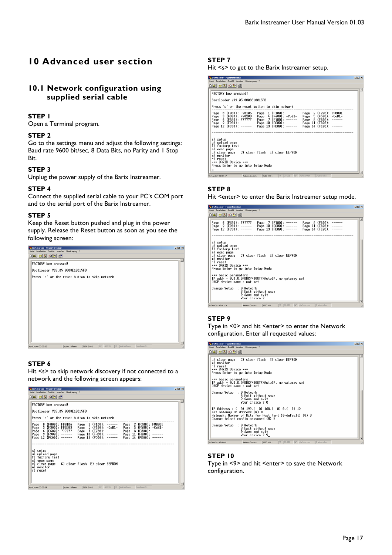## **10 Advanced user section**

## **10.1 Network configuration using supplied serial cable**

#### **STEP 1**

Open a Terminal program.

#### **STEP 2**

Go to the settings menu and adjust the following settings: Baud rate 9600 bit/sec, 8 Data Bits, no Parity and 1 Stop Bit.

#### **STEP 3**

Unplug the power supply of the Barix Instreamer.

#### **STEP 4**

Connect the supplied serial cable to your PC's COM port and to the serial port of the Barix Instreamer.

#### **STEP 5**

Keep the Reset button pushed and plug in the power supply. Release the Reset button as soon as you see the following screen:



### **STEP 6**

Hit <s> to skip network discovery if not connected to a network and the following screen appears:

### **STEP 7**

Hit <s> to get to the Barix Instreamer setup.

| 2 Instreamer - HyperTerminal                                                                                                                                                    | $   +$ $-$ |
|---------------------------------------------------------------------------------------------------------------------------------------------------------------------------------|------------|
| Datei Bearbeiten Arsicht Anrufen Übertragung ?                                                                                                                                  |            |
| 미대 5 3 미비 6                                                                                                                                                                     |            |
|                                                                                                                                                                                 |            |
| FACTORY key pressed!                                                                                                                                                            |            |
| Bootloader V99.05 0008E10015FB                                                                                                                                                  |            |
|                                                                                                                                                                                 |            |
| Press 's' or the reset button to skip network                                                                                                                                   |            |
|                                                                                                                                                                                 |            |
| 2 (F200): FW0001<br>0 (F000): FW0106<br>(F100):<br>Page<br>------<br>Page<br>Page<br>1<br>4 (F400): -CoB1-<br>5 (F500):<br>3 (F300): FH0203<br>Page<br>Page<br>Page<br>$-C0R1-$ |            |
| Page 8 (F800):<br>$6$ (F600):<br>??????<br>$7$ (F700): ------<br>Page<br>Page                                                                                                   |            |
| Page 10 (FA00): ------<br>9 (F900):<br>Page 11 (FB00):<br>Page                                                                                                                  |            |
| Page 13 (FD00): ------<br>Page 12 (FC00): ------<br>Page 14 (FE00):<br>$- - - - - -$                                                                                            |            |
|                                                                                                                                                                                 |            |
|                                                                                                                                                                                 |            |
| s) setup                                                                                                                                                                        |            |
| u) upload page                                                                                                                                                                  |            |
| factory test<br>exec page<br>e)                                                                                                                                                 |            |
| C) clear flash [] clear EEPROM<br>clear page<br>c)                                                                                                                              |            |
| monitor                                                                                                                                                                         |            |
| r) reset                                                                                                                                                                        |            |
| *** BARIX Device ***                                                                                                                                                            |            |
| Press Enter to go into Setup Mode                                                                                                                                               |            |
|                                                                                                                                                                                 |            |
| RF GROSS NF Aufzeichnen<br>Druckerecho<br>Verbunden 00:00:17<br>Autom, Erkenn.<br>9600 8-N-1                                                                                    |            |

#### **STEP 8**

Hit <enter> to enter the Barix Instreamer setup mode.

| $  D  \times$<br><b>A</b> Instreamer - HyperTerminal                                                                                                                                                                                                                                                                                             |
|--------------------------------------------------------------------------------------------------------------------------------------------------------------------------------------------------------------------------------------------------------------------------------------------------------------------------------------------------|
| Datei Bearbeiten Ansicht Anrufen Übertragung ?                                                                                                                                                                                                                                                                                                   |
| 미디 53 미리 6                                                                                                                                                                                                                                                                                                                                       |
|                                                                                                                                                                                                                                                                                                                                                  |
| Page<br>(F800):<br>6 (F600): ??????<br>Page 7 (F700):<br>8<br>Page<br>------<br>Page $9$ (F900): ------<br>Page $10$ (FA00): ------<br>Page 11 (FB00): ------<br>Page 12 (FC00): ------<br>Page $13$ (FD00): ------<br>Page 14 (FE00):<br>--------                                                                                               |
| s) setup<br>u) upload page<br>factory test<br>e) exec page<br>C) clear flash [] clear EEPROM<br>clear page<br>c)<br>m) monitor<br>r) reset<br>*** BARIX Device ***<br>Press Enter to go into Setup Mode<br>*** basic parameters<br>IP addr - 0.0.0.0/DHCP/BOOTP/AutoIP, no gateway set<br>DHCP device name : not set<br>Change Setup : 0 Network |
| 8 Exit without save<br>9 Save and exit<br>Your choice ?                                                                                                                                                                                                                                                                                          |
| RF GROSS NF Aufzeichnen<br>Druckerecho<br>Autom. Erkenn.<br>9600 8-N-1<br>Verbunden 00:01:23                                                                                                                                                                                                                                                     |

#### **STEP 9**

Type in <0> and hit <enter> to enter the Network configuration. Enter all requested values:

| A Instreamer - HyperTerminal<br>Datei Bearbeiten Ansicht Anrufen Übertragung ?                                                                                                    | $-101 \times 1$ |
|-----------------------------------------------------------------------------------------------------------------------------------------------------------------------------------|-----------------|
| 미디 53 미비 6                                                                                                                                                                        |                 |
| c) clear page – C) clear flash – E) clear EEPROM<br>m) monitor<br>r) reset<br>*** BARIX Device ***<br>Press Enter to go into Setup Mode                                           |                 |
| *** basic parameters<br>IP addr - 0.0.0.0/DHCP/BOOTP/AutoIP, no gateway set<br>DHCP device name : not set                                                                         |                 |
| Change Setup : 0 Network<br>8 Exit without save<br>9 Save and exit<br>Your choice ? 0                                                                                             |                 |
| IP Address: ( 0) 192. ( 0) 168. ( 0) 0. ( 0) 12<br>Set Gateway IP Address (N) N<br>Netmask: Number of Bits for Host Part (0=default) (0) 8<br>Change telnet config password (N) N |                 |
| Change Setup : 0 Network<br>8 Exit without save<br>9 Save and exit<br>Your choice ? 9_                                                                                            |                 |

#### **STEP 10**

Type in <9> and hit <enter> to save the Network configuration.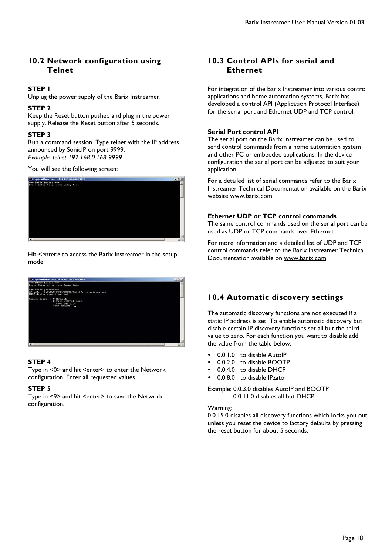## **10.2 Network configuration using Telnet**

### **STEP 1**

Unplug the power supply of the Barix Instreamer.

#### **STEP 2**

Keep the Reset button pushed and plug in the power supply. Release the Reset button after 5 seconds.

#### **STEP 3**

Run a command session. Type telnet with the IP address announced by SonicIP on port 9999. *Example: telnet 192.168.0.168 9999* 

You will see the following screen:



Hit <enter> to access the Barix Instreamer in the setup mode.



#### **STEP 4**

Type in <0> and hit <enter> to enter the Network configuration. Enter all requested values.

#### **STEP 5**

Type in <9> and hit <enter> to save the Network configuration.

## **10.3 Control APIs for serial and Ethernet**

For integration of the Barix Instreamer into various control applications and home automation systems, Barix has developed a control API (Application Protocol Interface) for the serial port and Ethernet UDP and TCP control.

#### **Serial Port control API**

The serial port on the Barix Instreamer can be used to send control commands from a home automation system and other PC or embedded applications. In the device configuration the serial port can be adjusted to suit your application.

For a detailed list of serial commands refer to the Barix Instreamer Technical Documentation available on the Barix website www.barix.com

#### **Ethernet UDP or TCP control commands**

The same control commands used on the serial port can be used as UDP or TCP commands over Ethernet.

For more information and a detailed list of UDP and TCP control commands refer to the Barix Instreamer Technical Documentation available on www.barix.com

## **10.4 Automatic discovery settings**

The automatic discovery functions are not executed if a static IP address is set. To enable automatic discovery but disable certain IP discovery functions set all but the third value to zero. For each function you want to disable add the value from the table below:

- 0.0.1.0 to disable AutoIP
- 0.0.2.0 to disable BOOTP
- 0.0.4.0 to disable DHCP
- 0.0.8.0 to disable IPzator

Example: 0.0.3.0 disables AutoIP and BOOTP 0.0.11.0 disables all but DHCP

#### Warning:

0.0.15.0 disables all discovery functions which locks you out unless you reset the device to factory defaults by pressing the reset button for about 5 seconds.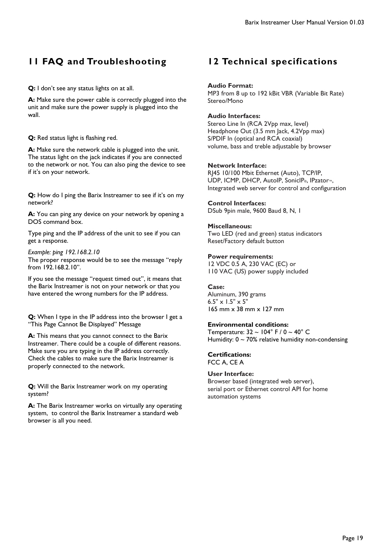## **11 FAQ and Troubleshooting**

**Q:** I don't see any status lights on at all.

**A:** Make sure the power cable is correctly plugged into the unit and make sure the power supply is plugged into the wall.

**Q:** Red status light is flashing red.

**A:** Make sure the network cable is plugged into the unit. The status light on the jack indicates if you are connected to the network or not. You can also ping the device to see if it's on your network.

**Q:** How do I ping the Barix Instreamer to see if it's on my network?

**A:** You can ping any device on your network by opening a DOS command box.

Type ping and the IP address of the unit to see if you can get a response.

*Example: ping 192.168.2.10*  The proper response would be to see the message "reply from 192.168.2.10".

If you see the message "request timed out", it means that the Barix Instreamer is not on your network or that you have entered the wrong numbers for the IP address.

**Q:** When I type in the IP address into the browser I get a "This Page Cannot Be Displayed" Message

**A:** This means that you cannot connect to the Barix Instreamer. There could be a couple of different reasons. Make sure you are typing in the IP address correctly. Check the cables to make sure the Barix Instreamer is properly connected to the network.

**Q:** Will the Barix Instreamer work on my operating system?

**A:** The Barix Instreamer works on virtually any operating system, to control the Barix Instreamer a standard web browser is all you need.

## **12 Technical specifications**

#### **Audio Format:**

MP3 from 8 up to 192 kBit VBR (Variable Bit Rate) Stereo/Mono

#### **Audio Interfaces:**

Stereo Line In (RCA 2Vpp max, level) Headphone Out (3.5 mm Jack, 4.2Vpp max) S/PDIF In (optical and RCA coaxial) volume, bass and treble adjustable by browser

#### **Network Interface:**

RJ45 10/100 Mbit Ethernet (Auto), TCP/IP, UDP, ICMP, DHCP, AutoIP, SonicIP®, IPzator™, Integrated web server for control and configuration

#### **Control Interfaces:**

DSub 9pin male, 9600 Baud 8, N, 1

#### **Miscellaneous:**

Two LED (red and green) status indicators Reset/Factory default button

#### **Power requirements:**

12 VDC 0.5 A, 230 VAC (EC) or 110 VAC (US) power supply included

#### **Case:**

Aluminum, 390 grams  $6.5" \times 1.5" \times 5"$ 165 mm x 38 mm x 127 mm

#### **Environmental conditions:**

Temperature:  $32 \sim 104^\circ$  F / 0  $\sim 40^\circ$  C Humidity:  $0 \sim 70\%$  relative humidity non-condensing

#### **Certifications:**

FCC A, CE A

#### **User Interface:**

Browser based (integrated web server), serial port or Ethernet control API for home automation systems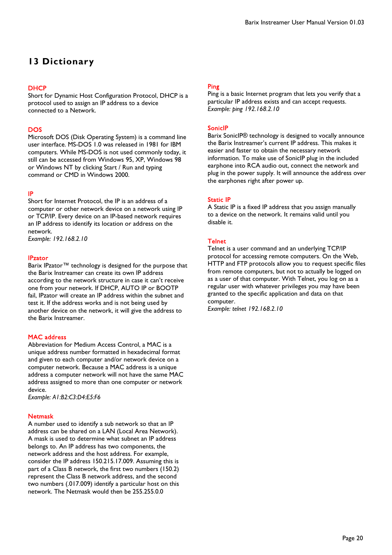## **13 Dictionary**

DHCP<br>Short for Dynamic Host Configuration Protocol, DHCP is a protocol used to assign an IP address to a device connected to a Network.

**DOS**<br>Microsoft DOS (Disk Operating System) is a command line user interface. MS-DOS 1.0 was released in 1981 for IBM computers. While MS-DOS is not used commonly today, it still can be accessed from Windows 95, XP, Windows 98 or Windows NT by clicking Start / Run and typing command or CMD in Windows 2000.

#### IP

Short for Internet Protocol, the IP is an address of a computer or other network device on a network using IP or TCP/IP. Every device on an IP-based network requires an IP address to identify its location or address on the network. *Example: 192.168.2.10* 

#### **IPzator**

Barix IPzator™ technology is designed for the purpose that the Barix Instreamer can create its own IP address according to the network structure in case it can't receive one from your network. If DHCP, AUTO IP or BOOTP fail, IPzator will create an IP address within the subnet and test it. If the address works and is not being used by another device on the network, it will give the address to the Barix Instreamer.

MAC address<br>Abbreviation for Medium Access Control, a MAC is a unique address number formatted in hexadecimal format and given to each computer and/or network device on a computer network. Because a MAC address is a unique address a computer network will not have the same MAC address assigned to more than one computer or network device.

*Example: A1:B2:C3:D4:E5:F6* 

Netmask<br>A number used to identify a sub network so that an IP address can be shared on a LAN (Local Area Network). A mask is used to determine what subnet an IP address belongs to. An IP address has two components, the network address and the host address. For example, consider the IP address 150.215.17.009. Assuming this is part of a Class B network, the first two numbers (150.2) represent the Class B network address, and the second two numbers (.017.009) identify a particular host on this network. The Netmask would then be 255.255.0.0

<mark>Ping</mark><br>Ping is a basic Internet program that lets you verify that a particular IP address exists and can accept requests. *Example: ping 192.168.2.10* 

#### SonicIP

Barix SonicIP® technology is designed to vocally announce the Barix Instreamer's current IP address. This makes it easier and faster to obtain the necessary network information. To make use of SonicIP plug in the included earphone into RCA audio out, connect the network and plug in the power supply. It will announce the address over the earphones right after power up.

Static IP<br>A Static IP is a fixed IP address that you assign manually to a device on the network. It remains valid until you disable it.

Telnet<br>Telnet is a user command and an underlying TCP/IP protocol for accessing remote computers. On the Web, HTTP and FTP protocols allow you to request specific files from remote computers, but not to actually be logged on as a user of that computer. With Telnet, you log on as a regular user with whatever privileges you may have been granted to the specific application and data on that computer.

*Example: telnet 192.168.2.10*